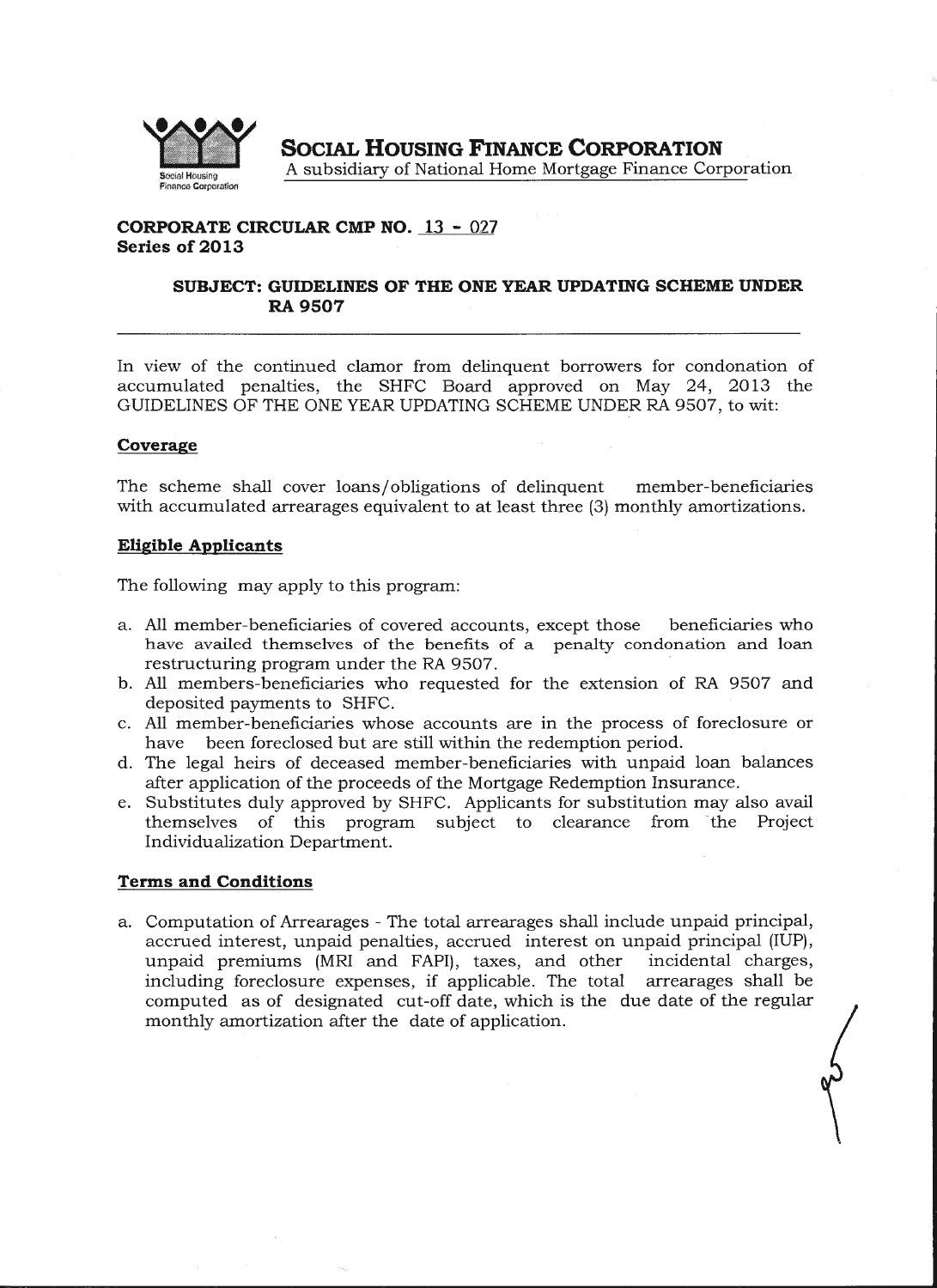

**SOCIAL HOUSING FINANCE CORPORATION**  A subsidiary of National Home Mortgage Finance Corporation •

# **CORPORATE CIRCULAR CMP NO. 13- 027 Series of 2013**

## **SUBJECT: GUIDELINES OF THE ONE YEAR UPDATING SCHEME UNDER RA9507**

In view of the continued clamor from delinquent borrowers for condonation of accumulated penalties, the SHFC Board approved on May 24, 2013 the GUIDELINES OF THE ONE YEAR UPDATING SCHEME UNDER RA 9507, to wit:

## **Coverage**

The scheme shall cover loans/obligations of delinquent member-beneficiaries with accumulated arrearages equivalent to at least three (3) monthly amortizations.

#### **Eligible Applicants**

The following may apply to this program:

- a. All member-beneficiaries of covered accounts, except those beneficiaries who have availed themselves of the benefits of a penalty condonation and loan restructuring program under the RA 9507.
- b. All members-beneficiaries who requested for the extension of RA 9507 and deposited payments to SHFC.
- c. All member-beneficiaries whose accounts are in the process of foreclosure or have been foreclosed but are still within the redemption period.
- d. The legal heirs of deceased member-beneficiaries with unpaid loan balances after application of the proceeds of the Mortgage Redemption Insurance.
- e. Substitutes duly approved by SHFC. Applicants for substitution may also avail themselves of this program subject to clearance from 'the Project Individualization Department.

## **Terms and Conditions**

a. Computation of Arrearages - The total arrearages shall include unpaid principal, accrued interest, unpaid penalties, accrued interest on unpaid principal (IUP), unpaid premiums (MRI and FAPI), taxes, and other incidental charges, including foreclosure expenses, if applicable. The total arrearages shall be computed as of designated cut-off date, which is the due date of the regular monthly amortization after the date of application.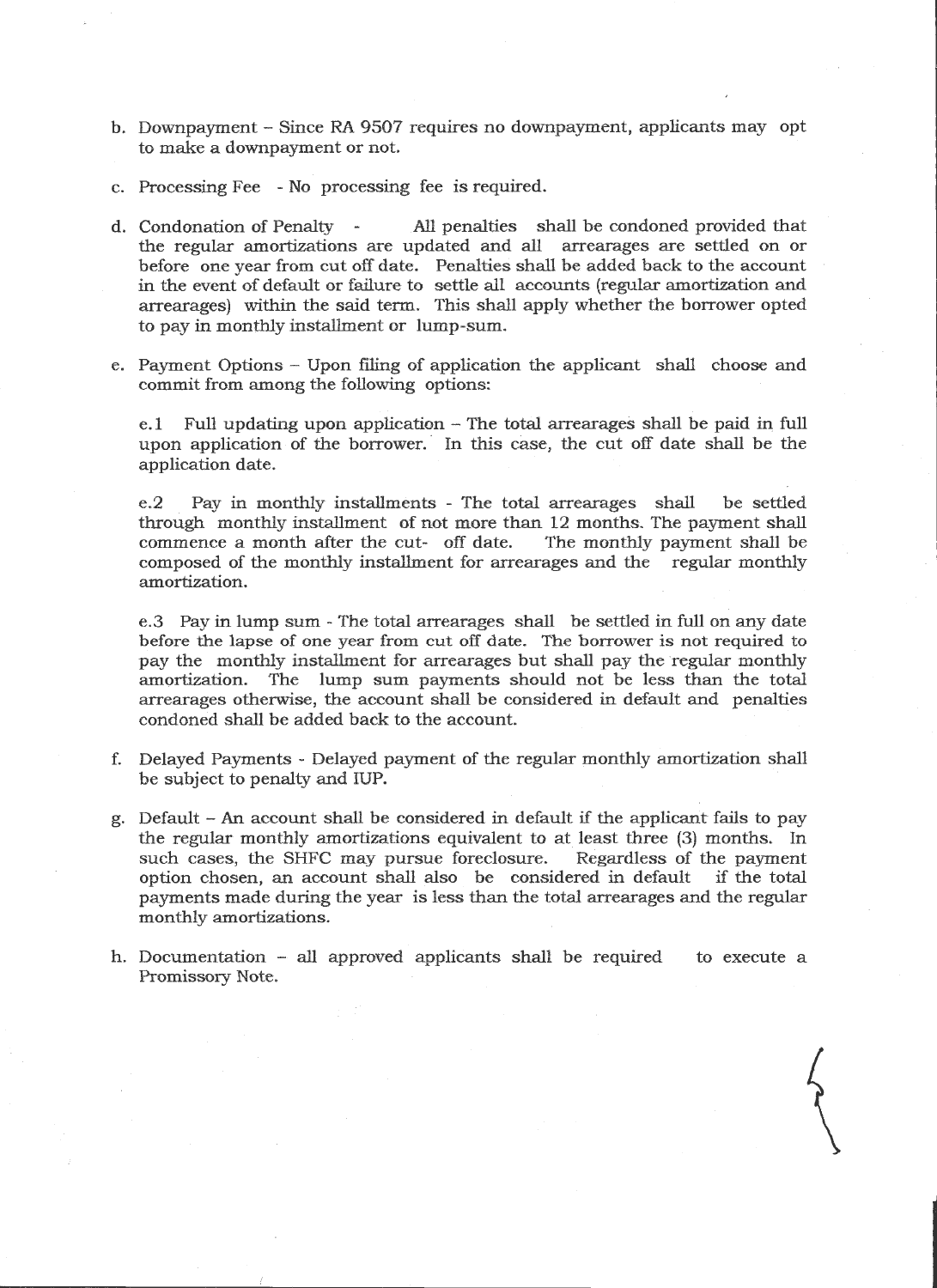- b. Downpayment Since RA 9507 requires no downpayment, applicants may opt to make a downpayment or not.
- c. Processing Fee No processing fee is required.
- d. Condonation of Penalty All penalties shall be condoned provided that the regular amortizations are updated and all arrearages are settled on or before one year from cut off date. Penalties shall be added back to the account in the event of default or failure to settle all accounts (regular amortization and arrearages) within the said term. This shall apply whether the borrower opted to pay in monthly installment or lump-sum.
- e. Payment Options Upon filing of application the applicant shall choose and commit from among the following options:

e.l Full updating upon application - The total arrearages shall be paid in full upon application of the borrower. In this case, the cut off date shall be the application date.

e.2 Pay in monthly installments - The total arrearages shall be settled through monthly installment of not more than 12 months. The payment shall commence a month after the cut- off date. The monthly payment shall be composed of the monthly installment for arrearages and the regular monthly amortization.

e.3 Pay in lump sum- The total arrearages shall be settled in full on any date before the lapse of one year from cut off date. The borrower is not required to pay the monthly installment for arrearages but shall pay the regular monthly amortization. The lump sum payments should not be less than the total arrearages otherwise, the account shall be considered in default and penalties condoned shall be added back to the account.

- f. Delayed Payments Delayed payment of the regular monthly amortization shall be subject to penalty and IUP.
- g. Default An account shall be considered in default if the applicant fails to pay the regular monthly amortizations equivalent to at least three (3) months. In such cases, the SHFC may pursue foreclosure. Regardless of the payment option chosen, an account shall also be considered in default if the total payments made during the year is less than the total arrearages and the regular monthly amortizations.
- h. Documentation all approved applicants shall be required Promissory Note. to execute a